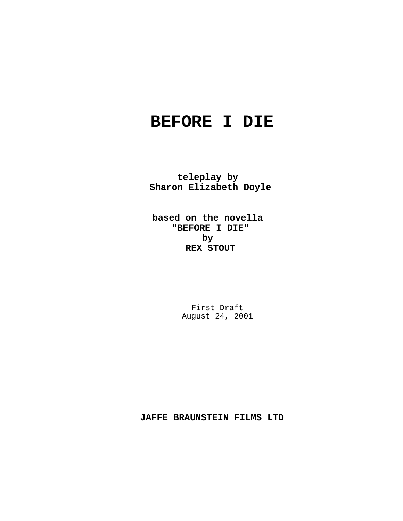# **BEFORE I DIE**

**teleplay by Sharon Elizabeth Doyle**

**based on the novella "BEFORE I DIE" by REX STOUT**

> First Draft August 24, 2001

**JAFFE BRAUNSTEIN FILMS LTD**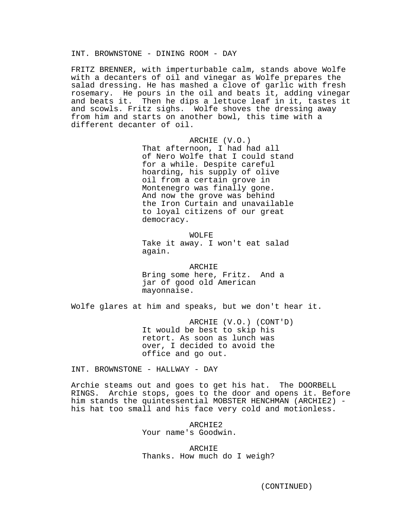FRITZ BRENNER, with imperturbable calm, stands above Wolfe with a decanters of oil and vinegar as Wolfe prepares the salad dressing. He has mashed a clove of garlic with fresh rosemary. He pours in the oil and beats it, adding vinegar and beats it. Then he dips a lettuce leaf in it, tastes it and scowls. Fritz sighs. Wolfe shoves the dressing away from him and starts on another bowl, this time with a different decanter of oil.

> ARCHIE (V.O.) That afternoon, I had had all of Nero Wolfe that I could stand for a while. Despite careful hoarding, his supply of olive oil from a certain grove in Montenegro was finally gone. And now the grove was behind the Iron Curtain and unavailable to loyal citizens of our great democracy.

WOLFE Take it away. I won't eat salad again.

ARCHIE Bring some here, Fritz. And a jar of good old American mayonnaise.

Wolfe glares at him and speaks, but we don't hear it.

ARCHIE (V.O.) (CONT'D) It would be best to skip his retort. As soon as lunch was over, I decided to avoid the office and go out.

INT. BROWNSTONE - HALLWAY - DAY

Archie steams out and goes to get his hat. The DOORBELL RINGS. Archie stops, goes to the door and opens it. Before him stands the quintessential MOBSTER HENCHMAN (ARCHIE2) his hat too small and his face very cold and motionless.

> ARCHIE2 Your name's Goodwin.

ARCHIE Thanks. How much do I weigh?

(CONTINUED)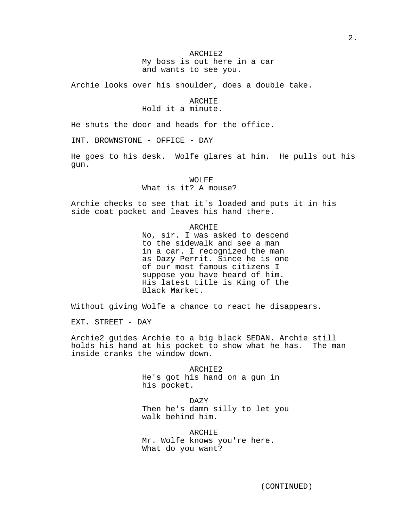# ARCHIE2 My boss is out here in a car and wants to see you.

Archie looks over his shoulder, does a double take.

# ARCHIE Hold it a minute.

He shuts the door and heads for the office.

INT. BROWNSTONE - OFFICE - DAY

He goes to his desk. Wolfe glares at him. He pulls out his gun.

WOLFE

What is it? A mouse?

Archie checks to see that it's loaded and puts it in his side coat pocket and leaves his hand there.

# ARCHIE

No, sir. I was asked to descend to the sidewalk and see a man in a car. I recognized the man as Dazy Perrit. Since he is one of our most famous citizens I suppose you have heard of him. His latest title is King of the Black Market.

Without giving Wolfe a chance to react he disappears.

EXT. STREET - DAY

Archie2 guides Archie to a big black SEDAN. Archie still holds his hand at his pocket to show what he has. The man inside cranks the window down.

> ARCHIE2 He's got his hand on a gun in his pocket.

DAZY Then he's damn silly to let you walk behind him.

**ARCHIE** Mr. Wolfe knows you're here. What do you want?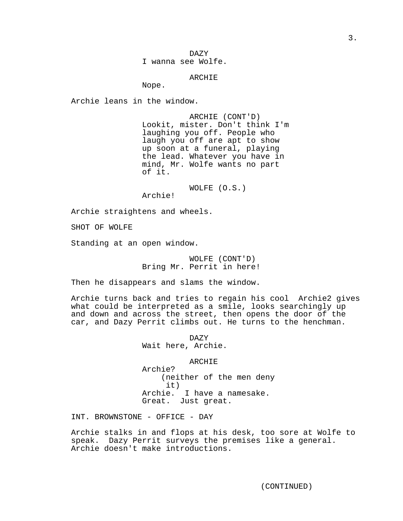DAZY I wanna see Wolfe.

ARCHIE

Nope.

Archie leans in the window.

ARCHIE (CONT'D) Lookit, mister. Don't think I'm laughing you off. People who laugh you off are apt to show up soon at a funeral, playing the lead. Whatever you have in mind, Mr. Wolfe wants no part of it.

WOLFE (O.S.)

Archie!

Archie straightens and wheels.

SHOT OF WOLFE

Standing at an open window.

WOLFE (CONT'D) Bring Mr. Perrit in here!

Then he disappears and slams the window.

Archie turns back and tries to regain his cool Archie2 gives what could be interpreted as a smile, looks searchingly up and down and across the street, then opens the door of the car, and Dazy Perrit climbs out. He turns to the henchman.

> DAZY Wait here, Archie.

> > ARCHIE

Archie? (neither of the men deny it) Archie. I have a namesake. Great. Just great.

INT. BROWNSTONE - OFFICE - DAY

Archie stalks in and flops at his desk, too sore at Wolfe to speak. Dazy Perrit surveys the premises like a general. Archie doesn't make introductions.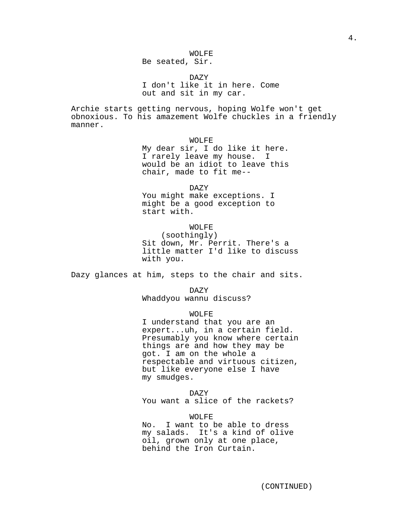# Be seated, Sir.

DAZY

I don't like it in here. Come out and sit in my car.

Archie starts getting nervous, hoping Wolfe won't get obnoxious. To his amazement Wolfe chuckles in a friendly manner.

WOLFE

My dear sir, I do like it here. I rarely leave my house. I would be an idiot to leave this chair, made to fit me--

DAZY

You might make exceptions. I might be a good exception to start with.

WOLFE

(soothingly) Sit down, Mr. Perrit. There's a little matter I'd like to discuss with you.

Dazy glances at him, steps to the chair and sits.

DAZY Whaddyou wannu discuss?

WOLFE

I understand that you are an expert...uh, in a certain field. Presumably you know where certain things are and how they may be got. I am on the whole a respectable and virtuous citizen, but like everyone else I have my smudges.

DAZY You want a slice of the rackets?

(CONTINUED)

WOLFE No. I want to be able to dress my salads. It's a kind of olive oil, grown only at one place,

behind the Iron Curtain.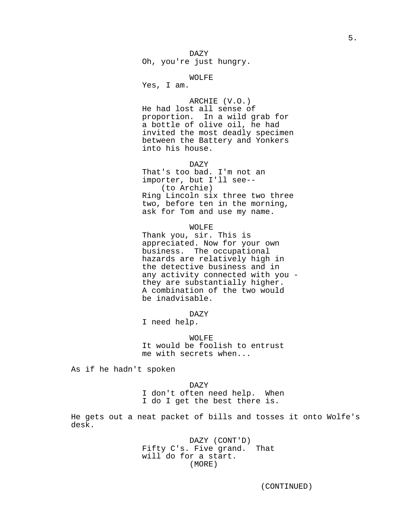DAZY Oh, you're just hungry.

## WOLFE

Yes, I am.

ARCHIE (V.O.) He had lost all sense of proportion. In a wild grab for

a bottle of olive oil, he had invited the most deadly specimen between the Battery and Yonkers into his house.

DAZY

That's too bad. I'm not an importer, but I'll see-- (to Archie) Ring Lincoln six three two three two, before ten in the morning, ask for Tom and use my name.

WOLFE

Thank you, sir. This is appreciated. Now for your own business. The occupational hazards are relatively high in the detective business and in any activity connected with you they are substantially higher. A combination of the two would be inadvisable.

DAZY

I need help.

WOLFE It would be foolish to entrust me with secrets when...

As if he hadn't spoken

DAZY I don't often need help. When I do I get the best there is.

He gets out a neat packet of bills and tosses it onto Wolfe's desk.

> DAZY (CONT'D) Fifty C's. Five grand. That will do for a start. (MORE)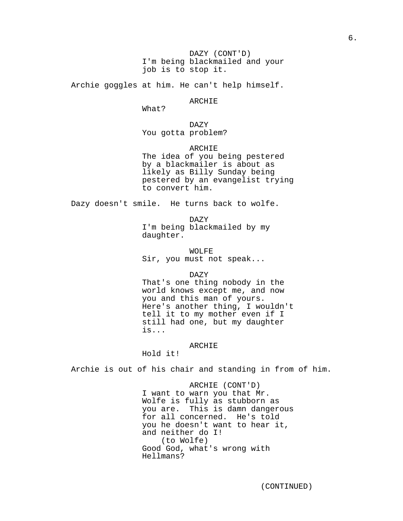DAZY (CONT'D) I'm being blackmailed and your job is to stop it.

Archie goggles at him. He can't help himself.

# ARCHIE

What?

DAZY You gotta problem?

ARCHIE

The idea of you being pestered by a blackmailer is about as likely as Billy Sunday being pestered by an evangelist trying to convert him.

Dazy doesn't smile. He turns back to wolfe.

DAZY I'm being blackmailed by my daughter.

WOLFE Sir, you must not speak...

DAZY

That's one thing nobody in the world knows except me, and now you and this man of yours. Here's another thing, I wouldn't tell it to my mother even if I still had one, but my daughter is...

ARCHIE

Hold it!

Archie is out of his chair and standing in from of him.

ARCHIE (CONT'D) I want to warn you that Mr. Wolfe is fully as stubborn as you are. This is damn dangerous for all concerned. He's told you he doesn't want to hear it, and neither do I! (to Wolfe) Good God, what's wrong with Hellmans?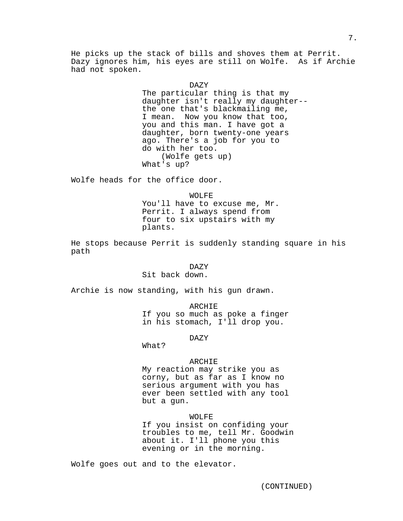He picks up the stack of bills and shoves them at Perrit. Dazy ignores him, his eyes are still on Wolfe. As if Archie had not spoken.

#### DAZY

The particular thing is that my daughter isn't really my daughter- the one that's blackmailing me, I mean. Now you know that too, you and this man. I have got a daughter, born twenty-one years ago. There's a job for you to do with her too. (Wolfe gets up) What's up?

Wolfe heads for the office door.

WOLFE You'll have to excuse me, Mr. Perrit. I always spend from four to six upstairs with my plants.

He stops because Perrit is suddenly standing square in his path

## DAZY

Sit back down.

Archie is now standing, with his gun drawn.

ARCHIE If you so much as poke a finger in his stomach, I'll drop you.

DAZY

What?

# ARCHIE

My reaction may strike you as corny, but as far as I know no serious argument with you has ever been settled with any tool but a gun.

# WOLFE

If you insist on confiding your troubles to me, tell Mr. Goodwin about it. I'll phone you this evening or in the morning.

Wolfe goes out and to the elevator.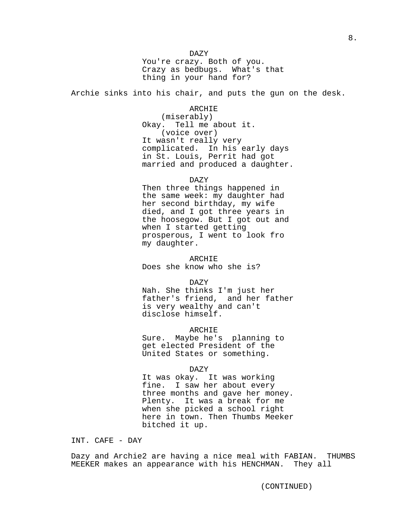DAZY You're crazy. Both of you. Crazy as bedbugs. What's that thing in your hand for?

Archie sinks into his chair, and puts the gun on the desk.

ARCHIE

(miserably) Okay. Tell me about it. (voice over) It wasn't really very complicated. In his early days in St. Louis, Perrit had got married and produced a daughter.

DAZY

Then three things happened in the same week: my daughter had her second birthday, my wife died, and I got three years in the hoosegow. But I got out and when I started getting prosperous, I went to look fro my daughter.

ARCHIE Does she know who she is?

DAZY

Nah. She thinks I'm just her father's friend, and her father is very wealthy and can't disclose himself.

ARCHIE

Sure. Maybe he's planning to get elected President of the United States or something.

DAZY

It was okay. It was working fine. I saw her about every three months and gave her money. Plenty. It was a break for me when she picked a school right here in town. Then Thumbs Meeker bitched it up.

INT. CAFE - DAY

Dazy and Archie2 are having a nice meal with FABIAN. THUMBS MEEKER makes an appearance with his HENCHMAN. They all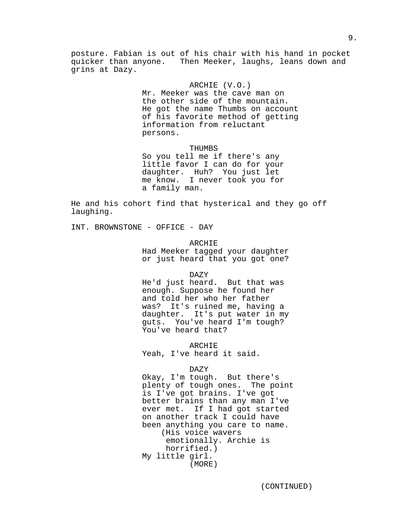posture. Fabian is out of his chair with his hand in pocket quicker than anyone. Then Meeker, laughs, leans down and grins at Dazy.

## ARCHIE (V.O.)

Mr. Meeker was the cave man on the other side of the mountain. He got the name Thumbs on account of his favorite method of getting information from reluctant persons.

#### THUMBS

So you tell me if there's any little favor I can do for your daughter. Huh? You just let me know. I never took you for a family man.

He and his cohort find that hysterical and they go off laughing.

INT. BROWNSTONE - OFFICE - DAY

# ARCHIE

Had Meeker tagged your daughter or just heard that you got one?

DAZY

He'd just heard. But that was enough. Suppose he found her and told her who her father was? It's ruined me, having a daughter. It's put water in my guts. You've heard I'm tough? You've heard that?

ARCHIE Yeah, I've heard it said.

#### DAZY

Okay, I'm tough. But there's plenty of tough ones. The point is I've got brains. I've got better brains than any man I've ever met. If I had got started on another track I could have been anything you care to name. (His voice wavers emotionally. Archie is horrified.) My little girl. (MORE)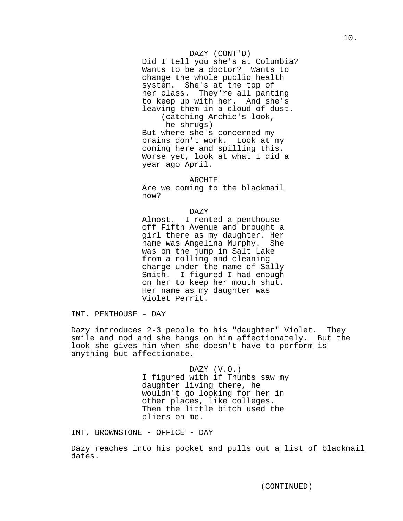# DAZY (CONT'D)

Did I tell you she's at Columbia? Wants to be a doctor? Wants to change the whole public health system. She's at the top of her class. They're all panting to keep up with her. And she's leaving them in a cloud of dust. (catching Archie's look, he shrugs) But where she's concerned my

brains don't work. Look at my coming here and spilling this. Worse yet, look at what I did a year ago April.

#### ARCHIE

Are we coming to the blackmail now?

## DAZY

Almost. I rented a penthouse off Fifth Avenue and brought a girl there as my daughter. Her name was Angelina Murphy. She was on the jump in Salt Lake from a rolling and cleaning charge under the name of Sally Smith. I figured I had enough on her to keep her mouth shut. Her name as my daughter was Violet Perrit.

INT. PENTHOUSE - DAY

Dazy introduces 2-3 people to his "daughter" Violet. They smile and nod and she hangs on him affectionately. But the look she gives him when she doesn't have to perform is anything but affectionate.

> DAZY (V.O.) I figured with if Thumbs saw my daughter living there, he wouldn't go looking for her in other places, like colleges. Then the little bitch used the pliers on me.

INT. BROWNSTONE - OFFICE - DAY

Dazy reaches into his pocket and pulls out a list of blackmail dates.

(CONTINUED)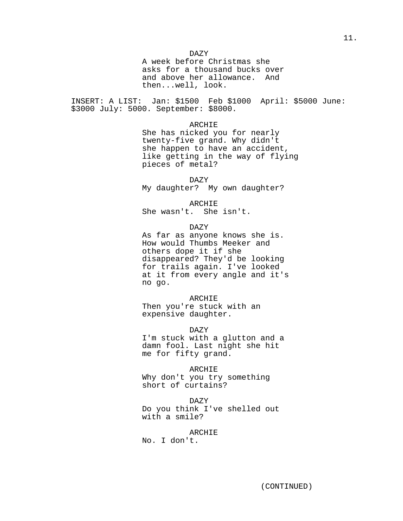DAZY

A week before Christmas she asks for a thousand bucks over and above her allowance. And then...well, look.

INSERT: A LIST: Jan: \$1500 Feb \$1000 April: \$5000 June: \$3000 July: 5000. September: \$8000.

ARCHIE

She has nicked you for nearly twenty-five grand. Why didn't she happen to have an accident, like getting in the way of flying pieces of metal?

DAZY

My daughter? My own daughter?

ARCHIE

She wasn't. She isn't.

DAZY

As far as anyone knows she is. How would Thumbs Meeker and others dope it if she disappeared? They'd be looking for trails again. I've looked at it from every angle and it's no go.

ARCHIE Then you're stuck with an expensive daughter.

DAZY

I'm stuck with a glutton and a damn fool. Last night she hit me for fifty grand.

ARCHIE Why don't you try something short of curtains?

DAZY Do you think I've shelled out with a smile?

**ARCHIE** No. I don't.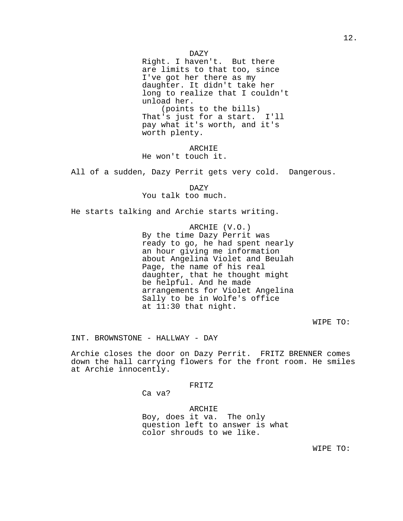Right. I haven't. But there are limits to that too, since I've got her there as my daughter. It didn't take her long to realize that I couldn't unload her. (points to the bills) That's just for a start. I'll pay what it's worth, and it's worth plenty.

ARCHIE He won't touch it.

All of a sudden, Dazy Perrit gets very cold. Dangerous.

DAZY You talk too much.

He starts talking and Archie starts writing.

ARCHIE (V.O.) By the time Dazy Perrit was ready to go, he had spent nearly an hour giving me information about Angelina Violet and Beulah Page, the name of his real daughter, that he thought might be helpful. And he made arrangements for Violet Angelina Sally to be in Wolfe's office at 11:30 that night.

# WIPE TO:

INT. BROWNSTONE - HALLWAY - DAY

Archie closes the door on Dazy Perrit. FRITZ BRENNER comes down the hall carrying flowers for the front room. He smiles at Archie innocently.

FRITZ

Ca va?

ARCHIE Boy, does it va. The only question left to answer is what color shrouds to we like.

WIPE TO: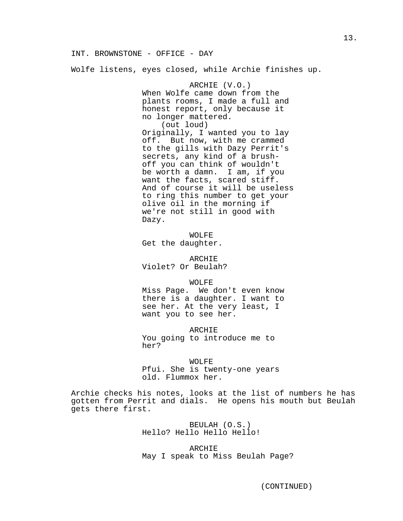INT. BROWNSTONE - OFFICE - DAY

Wolfe listens, eyes closed, while Archie finishes up.

ARCHIE (V.O.) When Wolfe came down from the plants rooms, I made a full and honest report, only because it no longer mattered. (out loud) Originally, I wanted you to lay off. But now, with me crammed to the gills with Dazy Perrit's secrets, any kind of a brushoff you can think of wouldn't be worth a damn. I am, if you want the facts, scared stiff. And of course it will be useless to ring this number to get your olive oil in the morning if we're not still in good with Dazy.

WOLFE Get the daughter.

ARCHIE Violet? Or Beulah?

WOLFE

Miss Page. We don't even know there is a daughter. I want to see her. At the very least, I want you to see her.

ARCHIE You going to introduce me to her?

WOLFE

Pfui. She is twenty-one years old. Flummox her.

Archie checks his notes, looks at the list of numbers he has gotten from Perrit and dials. He opens his mouth but Beulah gets there first.

> BEULAH (O.S.) Hello? Hello Hello Hello!

ARCHIE May I speak to Miss Beulah Page?

(CONTINUED)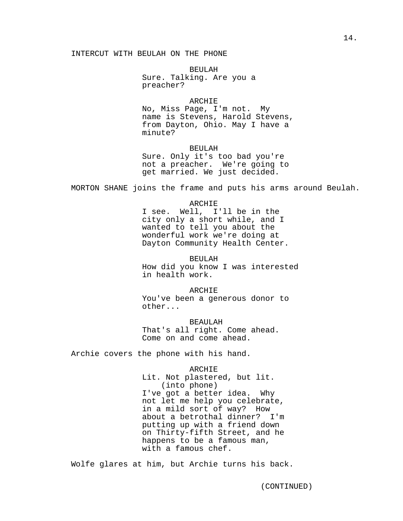# INTERCUT WITH BEULAH ON THE PHONE

BEULAH Sure. Talking. Are you a preacher?

ARCHIE

No, Miss Page, I'm not. My name is Stevens, Harold Stevens, from Dayton, Ohio. May I have a minute?

BEULAH Sure. Only it's too bad you're not a preacher. We're going to get married. We just decided.

MORTON SHANE joins the frame and puts his arms around Beulah.

ARCHIE

I see. Well, I'll be in the city only a short while, and I wanted to tell you about the wonderful work we're doing at Dayton Community Health Center.

BEULAH How did you know I was interested in health work.

ARCHIE You've been a generous donor to other...

BEAULAH That's all right. Come ahead. Come on and come ahead.

Archie covers the phone with his hand.

ARCHIE Lit. Not plastered, but lit. (into phone) I've got a better idea. Why not let me help you celebrate, in a mild sort of way? How about a betrothal dinner? I'm putting up with a friend down on Thirty-fifth Street, and he happens to be a famous man, with a famous chef.

Wolfe glares at him, but Archie turns his back.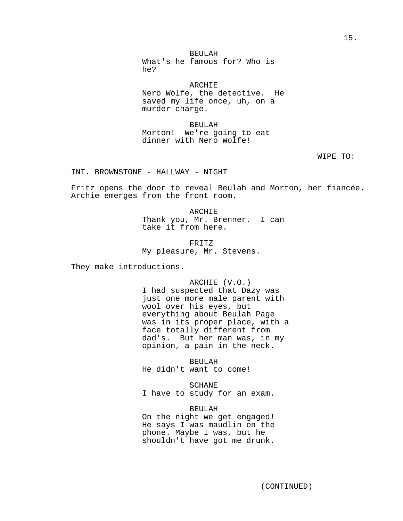BEULAH

What's he famous for? Who is he?

**ARCHIE** Nero Wolfe, the detective. He saved my life once, uh, on a

BEULAH Morton! We're going to eat dinner with Nero Wolfe!

murder charge.

WIPE TO:

INT. BROWNSTONE - HALLWAY - NIGHT

Fritz opens the door to reveal Beulah and Morton, her fiancée. Archie emerges from the front room.

> ARCHIE Thank you, Mr. Brenner. I can take it from here.

FRITZ My pleasure, Mr. Stevens.

They make introductions.

ARCHIE (V.O.) I had suspected that Dazy was just one more male parent with wool over his eyes, but everything about Beulah Page was in its proper place, with a face totally different from dad's. But her man was, in my opinion, a pain in the neck.

BEULAH He didn't want to come!

SCHANE I have to study for an exam.

BEULAH On the night we get engaged! He says I was maudlin on the phone. Maybe I was, but he shouldn't have got me drunk.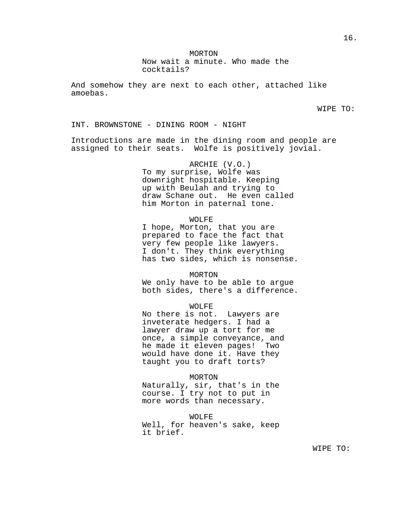MORTON

Now wait a minute. Who made the cocktails?

And somehow they are next to each other, attached like amoebas.

WIPE TO:

INT. BROWNSTONE - DINING ROOM - NIGHT

Introductions are made in the dining room and people are assigned to their seats. Wolfe is positively jovial.

> ARCHIE (V.O.) To my surprise, Wolfe was downright hospitable. Keeping up with Beulah and trying to draw Schane out. He even called him Morton in paternal tone.

#### WOLFE

I hope, Morton, that you are prepared to face the fact that very few people like lawyers. I don't. They think everything has two sides, which is nonsense.

MORTON

We only have to be able to argue both sides, there's a difference.

WOLFE

No there is not. Lawyers are inveterate hedgers. I had a lawyer draw up a tort for me once, a simple conveyance, and he made it eleven pages! Two would have done it. Have they taught you to draft torts?

MORTON

Naturally, sir, that's in the course. I try not to put in more words than necessary.

WOLFE Well, for heaven's sake, keep it brief.

WIPE TO: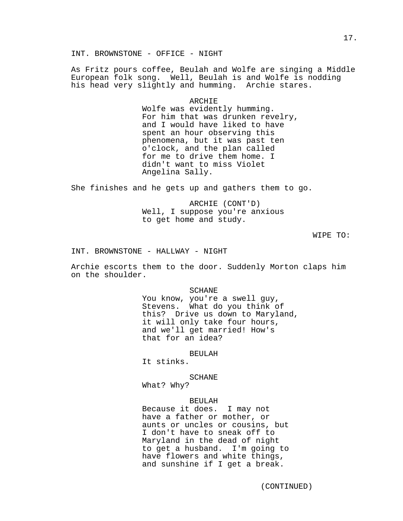As Fritz pours coffee, Beulah and Wolfe are singing a Middle European folk song. Well, Beulah is and Wolfe is nodding his head very slightly and humming. Archie stares.

# ARCHIE

Wolfe was evidently humming. For him that was drunken revelry, and I would have liked to have spent an hour observing this phenomena, but it was past ten o'clock, and the plan called for me to drive them home. I didn't want to miss Violet Angelina Sally.

She finishes and he gets up and gathers them to go.

ARCHIE (CONT'D) Well, I suppose you're anxious to get home and study.

WIPE TO:

INT. BROWNSTONE - HALLWAY - NIGHT

Archie escorts them to the door. Suddenly Morton claps him on the shoulder.

SCHANE

You know, you're a swell guy, Stevens. What do you think of this? Drive us down to Maryland, it will only take four hours, and we'll get married! How's that for an idea?

## BEULAH

It stinks.

# SCHANE

What? Why?

# BEULAH

Because it does. I may not have a father or mother, or aunts or uncles or cousins, but I don't have to sneak off to Maryland in the dead of night to get a husband. I'm going to have flowers and white things, and sunshine if I get a break.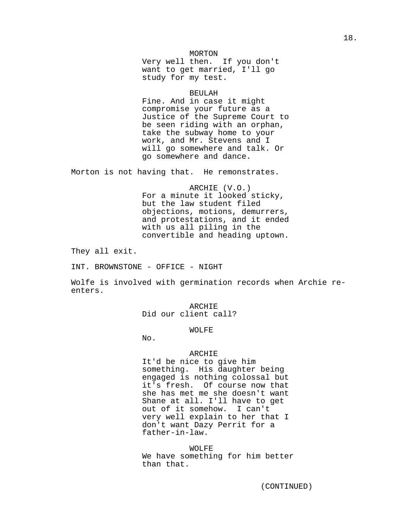# MORTON

Very well then. If you don't want to get married, I'll go study for my test.

## BEULAH

Fine. And in case it might compromise your future as a Justice of the Supreme Court to be seen riding with an orphan, take the subway home to your work, and Mr. Stevens and I will go somewhere and talk. Or go somewhere and dance.

Morton is not having that. He remonstrates.

ARCHIE (V.O.) For a minute it looked sticky, but the law student filed objections, motions, demurrers, and protestations, and it ended with us all piling in the convertible and heading uptown.

They all exit.

INT. BROWNSTONE - OFFICE - NIGHT

Wolfe is involved with germination records when Archie reenters.

> ARCHIE Did our client call?

## WOLFE

No.

## ARCHIE

It'd be nice to give him something. His daughter being engaged is nothing colossal but it's fresh. Of course now that she has met me she doesn't want Shane at all. I'll have to get out of it somehow. I can't very well explain to her that I don't want Dazy Perrit for a father-in-law.

WOLFE We have something for him better than that.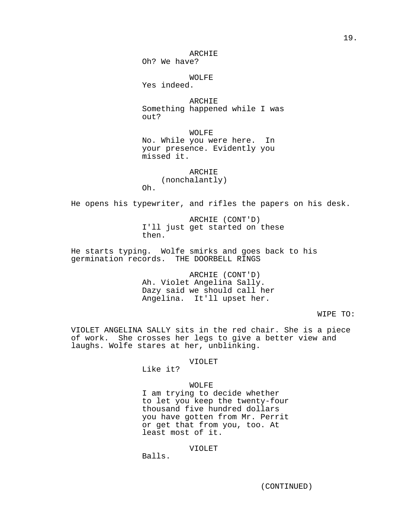ARCHIE

Oh? We have?

WOLFE

Yes indeed.

ARCHIE Something happened while I was out?

WOLFE No. While you were here. In your presence. Evidently you missed it.

**ARCHIE** (nonchalantly) Oh.

He opens his typewriter, and rifles the papers on his desk.

ARCHIE (CONT'D) I'll just get started on these then.

He starts typing. Wolfe smirks and goes back to his germination records. THE DOORBELL RINGS

> ARCHIE (CONT'D) Ah. Violet Angelina Sally. Dazy said we should call her Angelina. It'll upset her.

> > WIPE TO:

VIOLET ANGELINA SALLY sits in the red chair. She is a piece of work. She crosses her legs to give a better view and laughs. Wolfe stares at her, unblinking.

# VIOLET

Like it?

## WOLFE

I am trying to decide whether to let you keep the twenty-four thousand five hundred dollars you have gotten from Mr. Perrit or get that from you, too. At least most of it.

# VIOLET

Balls.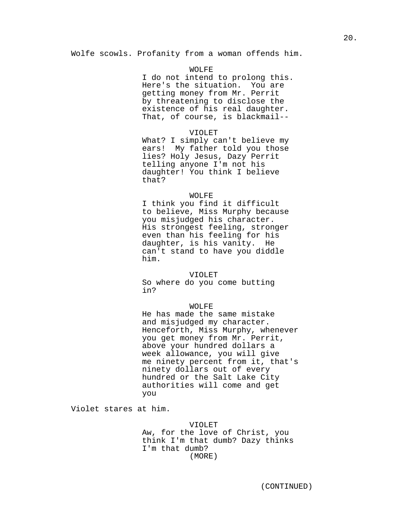Wolfe scowls. Profanity from a woman offends him.

# WOLFE

I do not intend to prolong this. Here's the situation. You are getting money from Mr. Perrit by threatening to disclose the existence of his real daughter. That, of course, is blackmail--

## VIOLET

What? I simply can't believe my ears! My father told you those lies? Holy Jesus, Dazy Perrit telling anyone I'm not his daughter! You think I believe that?

## WOLFE

I think you find it difficult to believe, Miss Murphy because you misjudged his character. His strongest feeling, stronger even than his feeling for his daughter, is his vanity. He can't stand to have you diddle him.

## VIOLET

So where do you come butting in?

## WOLFE

He has made the same mistake and misjudged my character. Henceforth, Miss Murphy, whenever you get money from Mr. Perrit, above your hundred dollars a week allowance, you will give me ninety percent from it, that's ninety dollars out of every hundred or the Salt Lake City authorities will come and get you

Violet stares at him.

VIOLET Aw, for the love of Christ, you think I'm that dumb? Dazy thinks I'm that dumb? (MORE)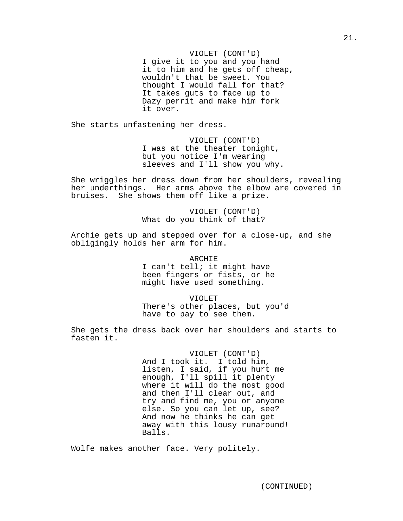VIOLET (CONT'D) I give it to you and you hand it to him and he gets off cheap, wouldn't that be sweet. You thought I would fall for that? It takes guts to face up to Dazy perrit and make him fork it over.

She starts unfastening her dress.

VIOLET (CONT'D) I was at the theater tonight, but you notice I'm wearing sleeves and I'll show you why.

She wriggles her dress down from her shoulders, revealing her underthings. Her arms above the elbow are covered in bruises. She shows them off like a prize.

> VIOLET (CONT'D) What do you think of that?

Archie gets up and stepped over for a close-up, and she obligingly holds her arm for him.

ARCHIE

I can't tell; it might have been fingers or fists, or he might have used something.

VIOLET

There's other places, but you'd have to pay to see them.

She gets the dress back over her shoulders and starts to fasten it.

> VIOLET (CONT'D) And I took it. I told him, listen, I said, if you hurt me enough, I'll spill it plenty where it will do the most good and then I'll clear out, and try and find me, you or anyone else. So you can let up, see? And now he thinks he can get away with this lousy runaround! Balls.

Wolfe makes another face. Very politely.

(CONTINUED)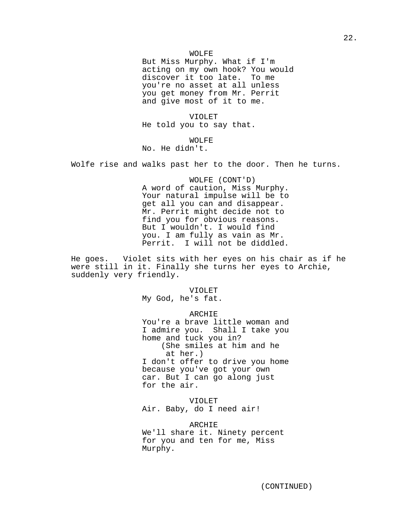But Miss Murphy. What if I'm acting on my own hook? You would discover it too late. To me you're no asset at all unless you get money from Mr. Perrit and give most of it to me.

VIOLET He told you to say that.

WOLFE No. He didn't.

Wolfe rise and walks past her to the door. Then he turns.

WOLFE (CONT'D) A word of caution, Miss Murphy. Your natural impulse will be to get all you can and disappear. Mr. Perrit might decide not to find you for obvious reasons. But I wouldn't. I would find you. I am fully as vain as Mr. Perrit. I will not be diddled.

He goes. Violet sits with her eyes on his chair as if he were still in it. Finally she turns her eyes to Archie, suddenly very friendly.

#### VIOLET

My God, he's fat.

## ARCHIE

You're a brave little woman and I admire you. Shall I take you home and tuck you in? (She smiles at him and he at her.) I don't offer to drive you home because you've got your own car. But I can go along just for the air.

VIOLET Air. Baby, do I need air!

ARCHIE We'll share it. Ninety percent for you and ten for me, Miss Murphy.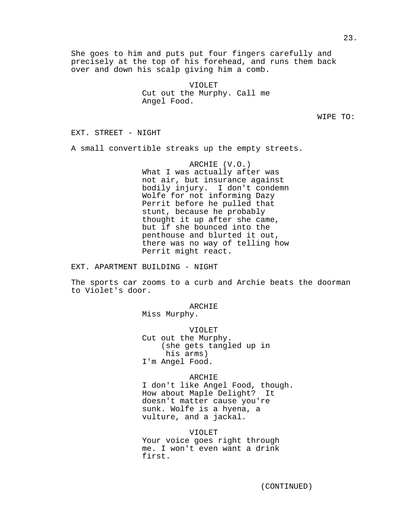She goes to him and puts put four fingers carefully and precisely at the top of his forehead, and runs them back over and down his scalp giving him a comb.

> VIOLET Cut out the Murphy. Call me Angel Food.

> > WIPE TO:

EXT. STREET - NIGHT

A small convertible streaks up the empty streets.

ARCHIE (V.O.) What I was actually after was not air, but insurance against bodily injury. I don't condemn Wolfe for not informing Dazy Perrit before he pulled that stunt, because he probably thought it up after she came, but if she bounced into the penthouse and blurted it out, there was no way of telling how Perrit might react.

EXT. APARTMENT BUILDING - NIGHT

The sports car zooms to a curb and Archie beats the doorman to Violet's door.

ARCHIE

Miss Murphy.

VIOLET Cut out the Murphy. (she gets tangled up in his arms) I'm Angel Food.

ARCHIE

I don't like Angel Food, though. How about Maple Delight? It doesn't matter cause you're sunk. Wolfe is a hyena, a vulture, and a jackal.

VIOLET Your voice goes right through me. I won't even want a drink first.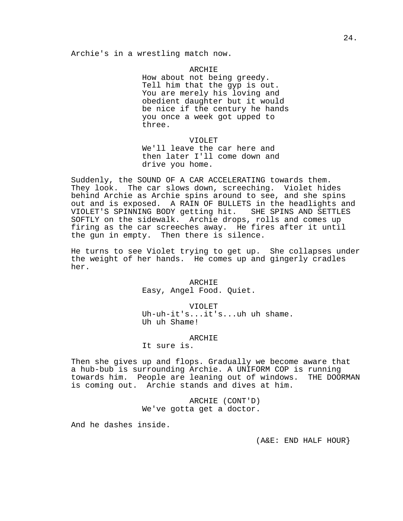Archie's in a wrestling match now.

ARCHIE How about not being greedy. Tell him that the gyp is out. You are merely his loving and obedient daughter but it would be nice if the century he hands you once a week got upped to three.

## VIOLET

We'll leave the car here and then later I'll come down and drive you home.

Suddenly, the SOUND OF A CAR ACCELERATING towards them. They look. The car slows down, screeching. Violet hides behind Archie as Archie spins around to see, and she spins out and is exposed. A RAIN OF BULLETS in the headlights and VIOLET'S SPINNING BODY getting hit. SHE SPINS AND SETTLES SOFTLY on the sidewalk. Archie drops, rolls and comes up firing as the car screeches away. He fires after it until the gun in empty. Then there is silence.

He turns to see Violet trying to get up. She collapses under the weight of her hands. He comes up and gingerly cradles her.

> ARCHIE Easy, Angel Food. Quiet.

VIOLET Uh-uh-it's...it's...uh uh shame. Uh uh Shame!

## ARCHIE

It sure is.

Then she gives up and flops. Gradually we become aware that a hub-bub is surrounding Archie. A UNIFORM COP is running towards him. People are leaning out of windows. THE DOORMAN is coming out. Archie stands and dives at him.

> ARCHIE (CONT'D) We've gotta get a doctor.

And he dashes inside.

(A&E: END HALF HOUR}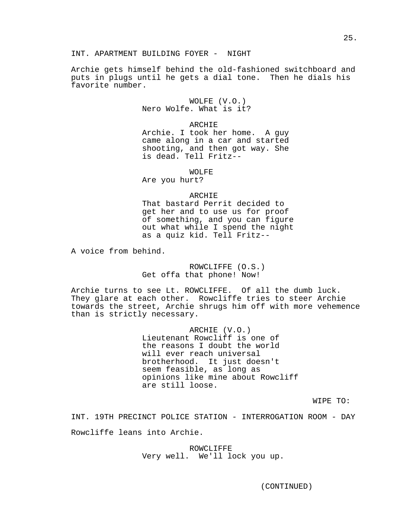Archie gets himself behind the old-fashioned switchboard and puts in plugs until he gets a dial tone. Then he dials his favorite number.

> WOLFE (V.O.) Nero Wolfe. What is it?

#### ARCHIE

Archie. I took her home. A guy came along in a car and started shooting, and then got way. She is dead. Tell Fritz--

WOLFE.

Are you hurt?

#### ARCHIE

That bastard Perrit decided to get her and to use us for proof of something, and you can figure out what while I spend the night as a quiz kid. Tell Fritz--

A voice from behind.

ROWCLIFFE (O.S.) Get offa that phone! Now!

Archie turns to see Lt. ROWCLIFFE. Of all the dumb luck. They glare at each other. Rowcliffe tries to steer Archie towards the street, Archie shrugs him off with more vehemence than is strictly necessary.

> ARCHIE (V.O.) Lieutenant Rowcliff is one of the reasons I doubt the world will ever reach universal brotherhood. It just doesn't seem feasible, as long as opinions like mine about Rowcliff are still loose.

> > WIPE TO:

INT. 19TH PRECINCT POLICE STATION - INTERROGATION ROOM - DAY

Rowcliffe leans into Archie.

ROWCLIFFE Very well. We'll lock you up.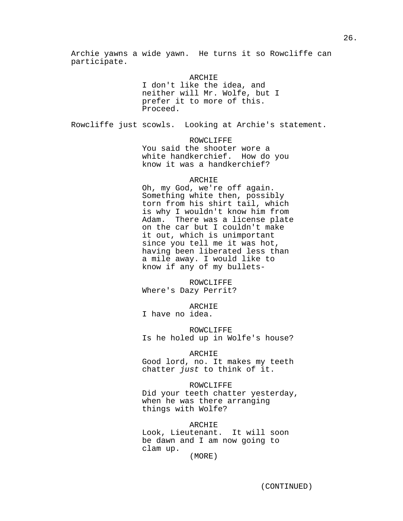Archie yawns a wide yawn. He turns it so Rowcliffe can participate.

> ARCHIE I don't like the idea, and neither will Mr. Wolfe, but I prefer it to more of this. Proceed.

Rowcliffe just scowls. Looking at Archie's statement.

ROWCLIFFE You said the shooter wore a white handkerchief. How do you know it was a handkerchief?

## ARCHIE

Oh, my God, we're off again. Something white then, possibly torn from his shirt tail, which is why I wouldn't know him from Adam. There was a license plate on the car but I couldn't make it out, which is unimportant since you tell me it was hot, having been liberated less than a mile away. I would like to know if any of my bullets-

ROWCLIFFE Where's Dazy Perrit?

ARCHIE I have no idea.

ROWCLIFFE Is he holed up in Wolfe's house?

ARCHIE

Good lord, no. It makes my teeth chatter just to think of it.

ROWCLIFFE Did your teeth chatter yesterday, when he was there arranging things with Wolfe?

ARCHIE Look, Lieutenant. It will soon be dawn and I am now going to clam up. (MORE)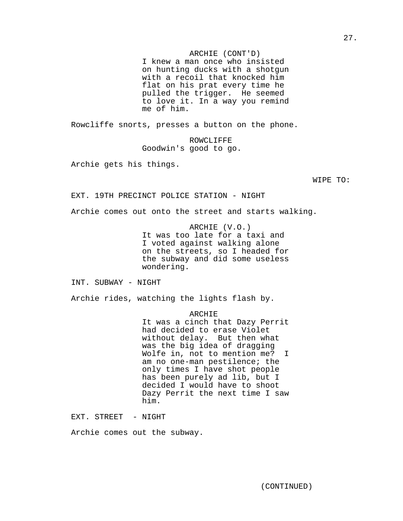## ARCHIE (CONT'D)

I knew a man once who insisted on hunting ducks with a shotgun with a recoil that knocked him flat on his prat every time he pulled the trigger. He seemed to love it. In a way you remind me of him.

Rowcliffe snorts, presses a button on the phone.

ROWCLIFFE Goodwin's good to go.

Archie gets his things.

WIPE TO:

EXT. 19TH PRECINCT POLICE STATION - NIGHT

Archie comes out onto the street and starts walking.

ARCHIE (V.O.) It was too late for a taxi and I voted against walking alone on the streets, so I headed for the subway and did some useless wondering.

INT. SUBWAY - NIGHT

Archie rides, watching the lights flash by.

ARCHIE

It was a cinch that Dazy Perrit had decided to erase Violet without delay. But then what was the big idea of dragging Wolfe in, not to mention me? I am no one-man pestilence; the only times I have shot people has been purely ad lib, but I decided I would have to shoot Dazy Perrit the next time I saw him.

EXT. STREET - NIGHT

Archie comes out the subway.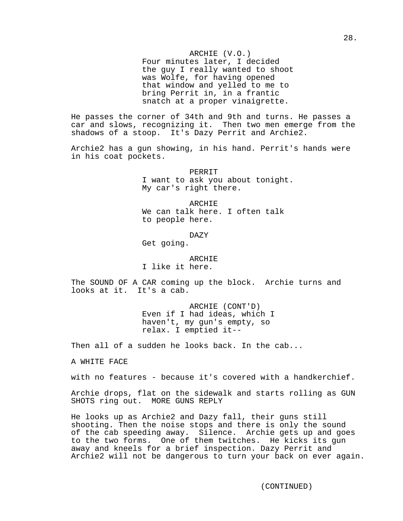Four minutes later, I decided the guy I really wanted to shoot was Wolfe, for having opened that window and yelled to me to bring Perrit in, in a frantic snatch at a proper vinaigrette.

He passes the corner of 34th and 9th and turns. He passes a car and slows, recognizing it. Then two men emerge from the shadows of a stoop. It's Dazy Perrit and Archie2.

Archie2 has a gun showing, in his hand. Perrit's hands were in his coat pockets.

> **PERRIT** I want to ask you about tonight. My car's right there.

ARCHIE We can talk here. I often talk to people here.

DAZY

Get going.

ARCHIE I like it here.

The SOUND OF A CAR coming up the block. Archie turns and looks at it. It's a cab.

> ARCHIE (CONT'D) Even if I had ideas, which I haven't, my gun's empty, so relax. I emptied it--

Then all of a sudden he looks back. In the cab...

A WHITE FACE

with no features - because it's covered with a handkerchief.

Archie drops, flat on the sidewalk and starts rolling as GUN SHOTS ring out. MORE GUNS REPLY

He looks up as Archie2 and Dazy fall, their guns still shooting. Then the noise stops and there is only the sound of the cab speeding away. Silence. Archie gets up and goes to the two forms. One of them twitches. He kicks its gun away and kneels for a brief inspection. Dazy Perrit and Archie2 will not be dangerous to turn your back on ever again.

(CONTINUED)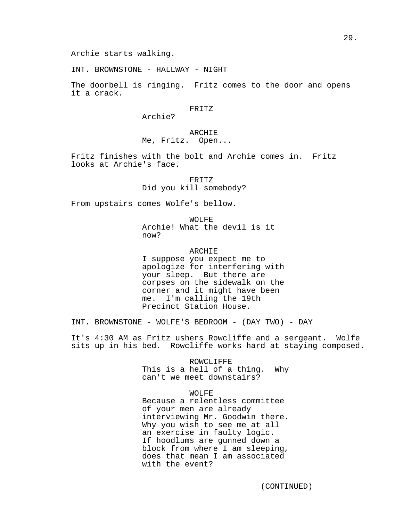INT. BROWNSTONE - HALLWAY - NIGHT

The doorbell is ringing. Fritz comes to the door and opens it a crack.

FRITZ

Archie?

# ARCHIE Me, Fritz. Open...

Fritz finishes with the bolt and Archie comes in. Fritz looks at Archie's face.

FRITZ

Did you kill somebody?

From upstairs comes Wolfe's bellow.

WOLFE Archie! What the devil is it now?

## ARCHIE

I suppose you expect me to apologize for interfering with your sleep. But there are corpses on the sidewalk on the corner and it might have been me. I'm calling the 19th Precinct Station House.

INT. BROWNSTONE - WOLFE'S BEDROOM - (DAY TWO) - DAY

It's 4:30 AM as Fritz ushers Rowcliffe and a sergeant. Wolfe sits up in his bed. Rowcliffe works hard at staying composed.

ROWCLIFFE

This is a hell of a thing. Why can't we meet downstairs?

# WOLFE

Because a relentless committee of your men are already interviewing Mr. Goodwin there. Why you wish to see me at all an exercise in faulty logic. If hoodlums are gunned down a block from where I am sleeping, does that mean I am associated with the event?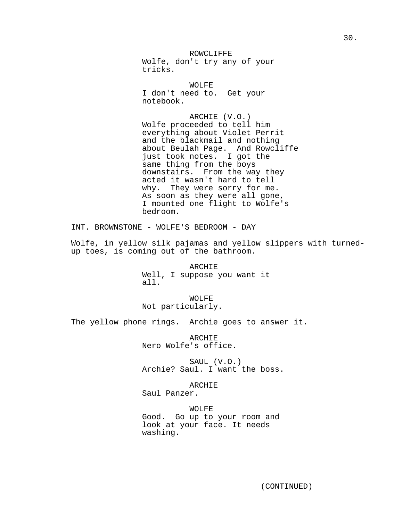ROWCLIFFE Wolfe, don't try any of your tricks.

WOLFE. I don't need to. Get your notebook.

ARCHIE (V.O.) Wolfe proceeded to tell him everything about Violet Perrit and the blackmail and nothing about Beulah Page. And Rowcliffe just took notes. I got the same thing from the boys downstairs. From the way they acted it wasn't hard to tell why. They were sorry for me. As soon as they were all gone, I mounted one flight to Wolfe's bedroom.

INT. BROWNSTONE - WOLFE'S BEDROOM - DAY

Wolfe, in yellow silk pajamas and yellow slippers with turnedup toes, is coming out of the bathroom.

> ARCHIE Well, I suppose you want it all.

WOLFE Not particularly.

The yellow phone rings. Archie goes to answer it.

ARCHIE Nero Wolfe's office.

SAUL (V.O.) Archie? Saul. I want the boss.

ARCHIE

Saul Panzer.

WOLFE Good. Go up to your room and look at your face. It needs washing.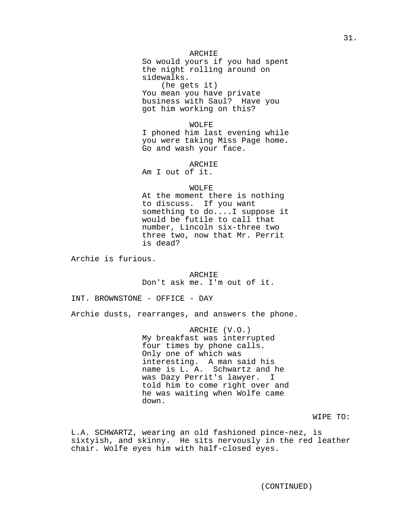## ARCHIE

So would yours if you had spent the night rolling around on sidewalks. (he gets it)

You mean you have private business with Saul? Have you got him working on this?

#### WOLFE

I phoned him last evening while you were taking Miss Page home. Go and wash your face.

### ARCHIE

Am I out of it.

# WOLFE

At the moment there is nothing to discuss. If you want something to do....I suppose it would be futile to call that number, Lincoln six-three two three two, now that Mr. Perrit is dead?

Archie is furious.

ARCHIE Don't ask me. I'm out of it.

INT. BROWNSTONE - OFFICE - DAY

Archie dusts, rearranges, and answers the phone.

ARCHIE (V.O.) My breakfast was interrupted four times by phone calls. Only one of which was interesting. A man said his name is L. A. Schwartz and he was Dazy Perrit's lawyer. I told him to come right over and he was waiting when Wolfe came down.

WIPE TO:

L.A. SCHWARTZ, wearing an old fashioned pince-nez, is sixtyish, and skinny. He sits nervously in the red leather chair. Wolfe eyes him with half-closed eyes.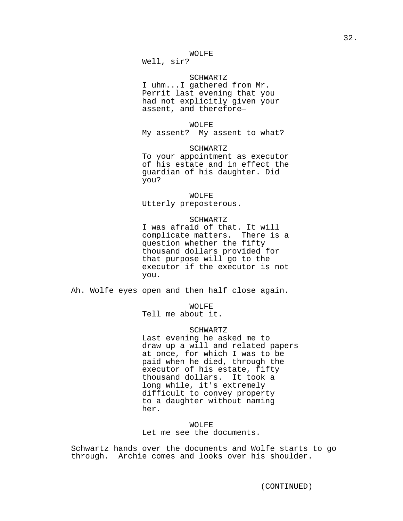Well, sir?

# SCHWARTZ

I uhm...I gathered from Mr. Perrit last evening that you had not explicitly given your assent, and therefore—

#### WOLFE

My assent? My assent to what?

## SCHWARTZ

To your appointment as executor of his estate and in effect the guardian of his daughter. Did you?

# WOLFE

Utterly preposterous.

#### SCHWARTZ

I was afraid of that. It will complicate matters. There is a question whether the fifty thousand dollars provided for that purpose will go to the executor if the executor is not you.

Ah. Wolfe eyes open and then half close again.

WOLFE

Tell me about it.

# SCHWARTZ

Last evening he asked me to draw up a will and related papers at once, for which I was to be paid when he died, through the executor of his estate, fifty thousand dollars. It took a long while, it's extremely difficult to convey property to a daughter without naming her.

## WOLFE

Let me see the documents.

Schwartz hands over the documents and Wolfe starts to go through. Archie comes and looks over his shoulder.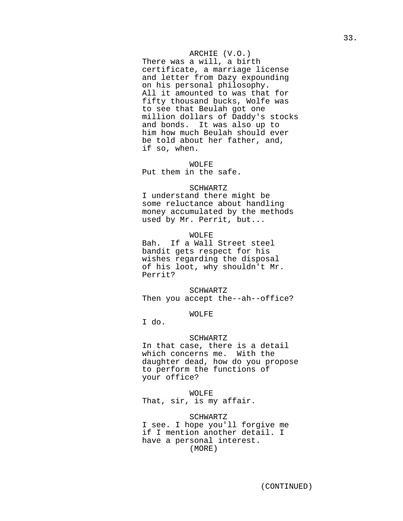# ARCHIE (V.O.)

There was a will, a birth certificate, a marriage license and letter from Dazy expounding on his personal philosophy. All it amounted to was that for fifty thousand bucks, Wolfe was to see that Beulah got one million dollars of Daddy's stocks and bonds. It was also up to him how much Beulah should ever be told about her father, and, if so, when.

# WOLFE

Put them in the safe.

# SCHWARTZ

I understand there might be some reluctance about handling money accumulated by the methods used by Mr. Perrit, but...

## WOLFE

Bah. If a Wall Street steel bandit gets respect for his wishes regarding the disposal of his loot, why shouldn't Mr. Perrit?

SCHWARTZ Then you accept the--ah--office?

# WOLFE

I do.

## SCHWARTZ

In that case, there is a detail which concerns me. With the daughter dead, how do you propose to perform the functions of your office?

WOLFE That, sir, is my affair.

SCHWARTZ I see. I hope you'll forgive me if I mention another detail. I have a personal interest. (MORE)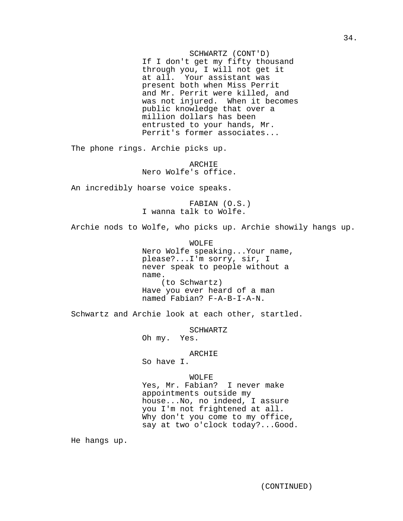SCHWARTZ (CONT'D) If I don't get my fifty thousand through you, I will not get it at all. Your assistant was present both when Miss Perrit and Mr. Perrit were killed, and was not injured. When it becomes public knowledge that over a million dollars has been entrusted to your hands, Mr. Perrit's former associates...

The phone rings. Archie picks up.

ARCHIE Nero Wolfe's office.

An incredibly hoarse voice speaks.

FABIAN (O.S.) I wanna talk to Wolfe.

Archie nods to Wolfe, who picks up. Archie showily hangs up.

WOLFE Nero Wolfe speaking...Your name, please?...I'm sorry, sir, I never speak to people without a name. (to Schwartz) Have you ever heard of a man named Fabian? F-A-B-I-A-N.

Schwartz and Archie look at each other, startled.

SCHWARTZ Oh my. Yes.

ARCHIE

So have I.

## WOLFE

Yes, Mr. Fabian? I never make appointments outside my house...No, no indeed, I assure you I'm not frightened at all. Why don't you come to my office, say at two o'clock today?...Good.

He hangs up.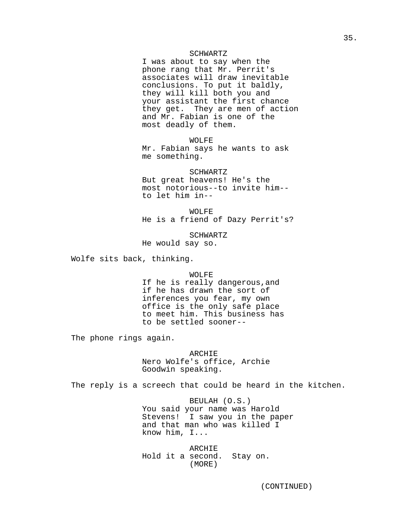#### SCHWARTZ

I was about to say when the phone rang that Mr. Perrit's associates will draw inevitable conclusions. To put it baldly, they will kill both you and your assistant the first chance they get. They are men of action and Mr. Fabian is one of the most deadly of them.

WOLFE

Mr. Fabian says he wants to ask me something.

#### SCHWARTZ

But great heavens! He's the most notorious--to invite him- to let him in--

WOLFE

He is a friend of Dazy Perrit's?

SCHWARTZ

He would say so.

Wolfe sits back, thinking.

WOLFE

If he is really dangerous,and if he has drawn the sort of inferences you fear, my own office is the only safe place to meet him. This business has to be settled sooner--

The phone rings again.

ARCHIE Nero Wolfe's office, Archie Goodwin speaking.

The reply is a screech that could be heard in the kitchen.

BEULAH (O.S.) You said your name was Harold Stevens! I saw you in the paper and that man who was killed I know him, I...

ARCHIE Hold it a second. Stay on. (MORE)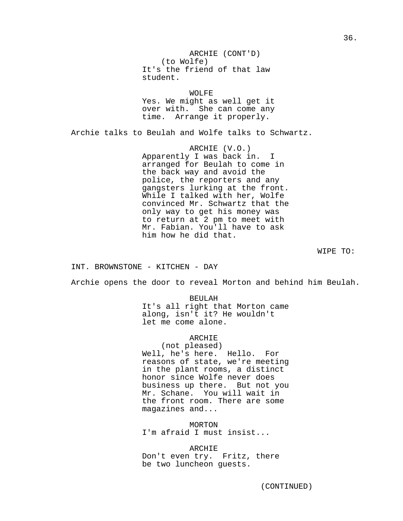ARCHIE (CONT'D) (to Wolfe) It's the friend of that law student.

WOLFE Yes. We might as well get it over with. She can come any time. Arrange it properly.

Archie talks to Beulah and Wolfe talks to Schwartz.

ARCHIE (V.O.) Apparently I was back in. I arranged for Beulah to come in the back way and avoid the police, the reporters and any gangsters lurking at the front. While I talked with her, Wolfe convinced Mr. Schwartz that the only way to get his money was to return at 2 pm to meet with Mr. Fabian. You'll have to ask him how he did that.

WIPE TO:

INT. BROWNSTONE - KITCHEN - DAY

Archie opens the door to reveal Morton and behind him Beulah.

BEULAH It's all right that Morton came along, isn't it? He wouldn't let me come alone.

ARCHIE

(not pleased) Well, he's here. Hello. For reasons of state, we're meeting in the plant rooms, a distinct honor since Wolfe never does business up there. But not you Mr. Schane. You will wait in the front room. There are some magazines and...

MORTON I'm afraid I must insist...

ARCHIE Don't even try. Fritz, there be two luncheon guests.

36.

(CONTINUED)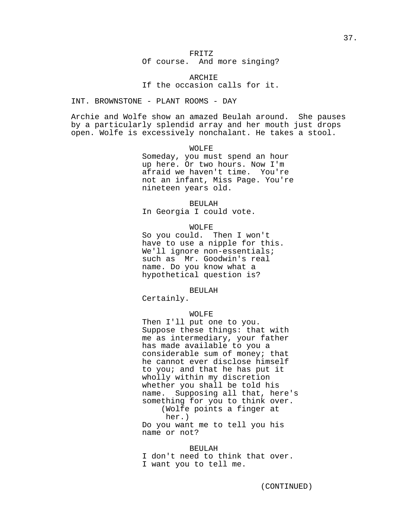Of course. And more singing?

ARCHIE If the occasion calls for it.

# INT. BROWNSTONE - PLANT ROOMS - DAY

Archie and Wolfe show an amazed Beulah around. She pauses by a particularly splendid array and her mouth just drops open. Wolfe is excessively nonchalant. He takes a stool.

## WOLFE

Someday, you must spend an hour up here. Or two hours. Now I'm afraid we haven't time. You're not an infant, Miss Page. You're nineteen years old.

BEULAH

In Georgia I could vote.

WOLFE

So you could. Then I won't have to use a nipple for this. We'll ignore non-essentials; such as Mr. Goodwin's real name. Do you know what a hypothetical question is?

BEULAH

Certainly.

# WOLFE

Then I'll put one to you. Suppose these things: that with me as intermediary, your father has made available to you a considerable sum of money; that he cannot ever disclose himself to you; and that he has put it wholly within my discretion whether you shall be told his name. Supposing all that, here's something for you to think over. (Wolfe points a finger at her.)

Do you want me to tell you his name or not?

## BEULAH

I don't need to think that over. I want you to tell me.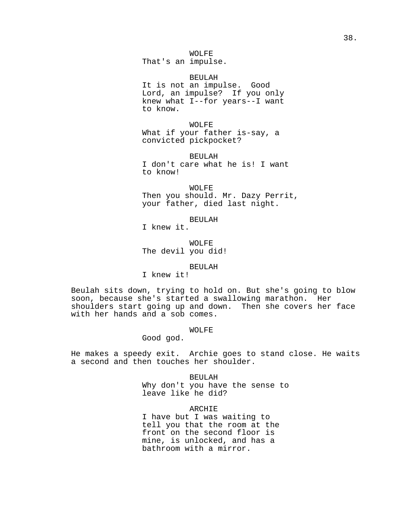That's an impulse.

BEULAH

It is not an impulse. Good Lord, an impulse? If you only knew what I--for years--I want to know.

WOLFE What if your father is-say, a convicted pickpocket?

BEULAH I don't care what he is! I want to know!

WOLFE Then you should. Mr. Dazy Perrit, your father, died last night.

BEULAH I knew it.

WOLFE The devil you did!

BEULAH

I knew it!

Beulah sits down, trying to hold on. But she's going to blow soon, because she's started a swallowing marathon. Her shoulders start going up and down. Then she covers her face with her hands and a sob comes.

WOLFE

Good god.

He makes a speedy exit. Archie goes to stand close. He waits a second and then touches her shoulder.

> BEULAH Why don't you have the sense to leave like he did?

ARCHIE I have but I was waiting to tell you that the room at the front on the second floor is mine, is unlocked, and has a bathroom with a mirror.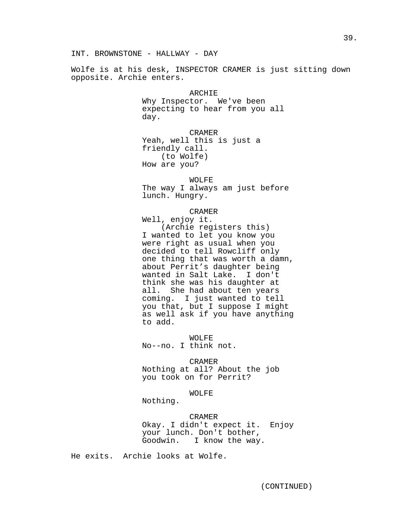Wolfe is at his desk, INSPECTOR CRAMER is just sitting down opposite. Archie enters.

> ARCHIE Why Inspector. We've been expecting to hear from you all day.

CRAMER Yeah, well this is just a friendly call. (to Wolfe) How are you?

WOLFE

The way I always am just before lunch. Hungry.

CRAMER

Well, enjoy it. (Archie registers this) I wanted to let you know you were right as usual when you decided to tell Rowcliff only one thing that was worth a damn, about Perrit's daughter being wanted in Salt Lake. I don't think she was his daughter at all. She had about ten years coming. I just wanted to tell you that, but I suppose I might as well ask if you have anything to add.

WOLFE No--no. I think not.

CRAMER Nothing at all? About the job you took on for Perrit?

WOLFE

Nothing.

CRAMER Okay. I didn't expect it. Enjoy your lunch. Don't bother, Goodwin. I know the way.

He exits. Archie looks at Wolfe.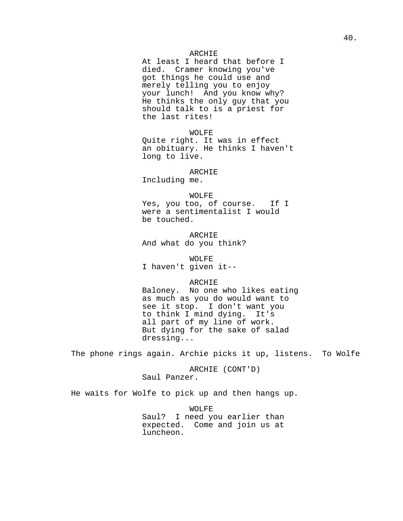### ARCHIE

At least I heard that before I died. Cramer knowing you've got things he could use and merely telling you to enjoy your lunch! And you know why? He thinks the only guy that you should talk to is a priest for the last rites!

WOLFE Quite right. It was in effect an obituary. He thinks I haven't long to live.

ARCHIE

Including me.

WOLFE Yes, you too, of course. If I were a sentimentalist I would be touched.

ARCHIE And what do you think?

WOLFE I haven't given it--

#### ARCHIE

Baloney. No one who likes eating as much as you do would want to see it stop. I don't want you to think I mind dying. It's all part of my line of work. But dying for the sake of salad dressing...

The phone rings again. Archie picks it up, listens. To Wolfe

ARCHIE (CONT'D) Saul Panzer.

He waits for Wolfe to pick up and then hangs up.

WOLFE Saul? I need you earlier than expected. Come and join us at luncheon.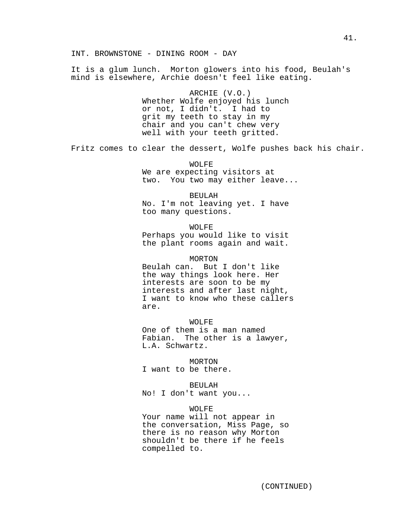INT. BROWNSTONE - DINING ROOM - DAY

It is a glum lunch. Morton glowers into his food, Beulah's mind is elsewhere, Archie doesn't feel like eating.

> ARCHIE (V.O.) Whether Wolfe enjoyed his lunch or not, I didn't. I had to grit my teeth to stay in my chair and you can't chew very well with your teeth gritted.

Fritz comes to clear the dessert, Wolfe pushes back his chair.

WOLFE We are expecting visitors at two. You two may either leave...

BEULAH No. I'm not leaving yet. I have too many questions.

WOLFE Perhaps you would like to visit the plant rooms again and wait.

MORTON

Beulah can. But I don't like the way things look here. Her interests are soon to be my interests and after last night, I want to know who these callers are.

WOLFE One of them is a man named Fabian. The other is a lawyer, L.A. Schwartz.

MORTON

I want to be there.

BEULAH

No! I don't want you...

WOLFE

Your name will not appear in the conversation, Miss Page, so there is no reason why Morton shouldn't be there if he feels compelled to.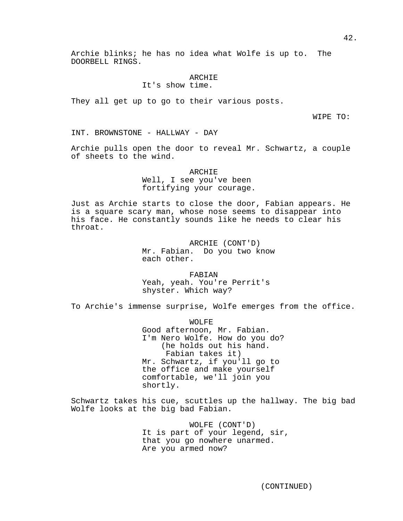Archie blinks; he has no idea what Wolfe is up to. The DOORBELL RINGS.

#### ARCHIE

It's show time.

They all get up to go to their various posts.

WIPE TO:

INT. BROWNSTONE - HALLWAY - DAY

Archie pulls open the door to reveal Mr. Schwartz, a couple of sheets to the wind.

> **ARCHIE** Well, I see you've been fortifying your courage.

Just as Archie starts to close the door, Fabian appears. He is a square scary man, whose nose seems to disappear into his face. He constantly sounds like he needs to clear his throat.

> ARCHIE (CONT'D) Mr. Fabian. Do you two know each other.

FABIAN Yeah, yeah. You're Perrit's shyster. Which way?

To Archie's immense surprise, Wolfe emerges from the office.

WOLFE Good afternoon, Mr. Fabian. I'm Nero Wolfe. How do you do? (he holds out his hand. Fabian takes it) Mr. Schwartz, if you'll go to the office and make yourself comfortable, we'll join you shortly.

Schwartz takes his cue, scuttles up the hallway. The big bad Wolfe looks at the big bad Fabian.

> WOLFE (CONT'D) It is part of your legend, sir, that you go nowhere unarmed. Are you armed now?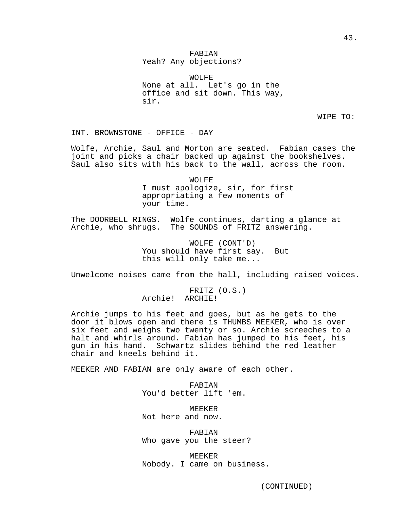# FABIAN Yeah? Any objections?

WOLFE None at all. Let's go in the office and sit down. This way, sir.

WIPE TO:

INT. BROWNSTONE - OFFICE - DAY

Wolfe, Archie, Saul and Morton are seated. Fabian cases the joint and picks a chair backed up against the bookshelves. Saul also sits with his back to the wall, across the room.

> WOLFE I must apologize, sir, for first appropriating a few moments of your time.

The DOORBELL RINGS. Wolfe continues, darting a glance at Archie, who shrugs. The SOUNDS of FRITZ answering.

> WOLFE (CONT'D) You should have first say. But this will only take me...

Unwelcome noises came from the hall, including raised voices.

FRITZ (O.S.) Archie! ARCHIE!

Archie jumps to his feet and goes, but as he gets to the door it blows open and there is THUMBS MEEKER, who is over six feet and weighs two twenty or so. Archie screeches to a halt and whirls around. Fabian has jumped to his feet, his gun in his hand. Schwartz slides behind the red leather chair and kneels behind it.

MEEKER AND FABIAN are only aware of each other.

FABIAN You'd better lift 'em.

MEEKER Not here and now.

FABIAN Who gave you the steer?

MEEKER Nobody. I came on business.

(CONTINUED)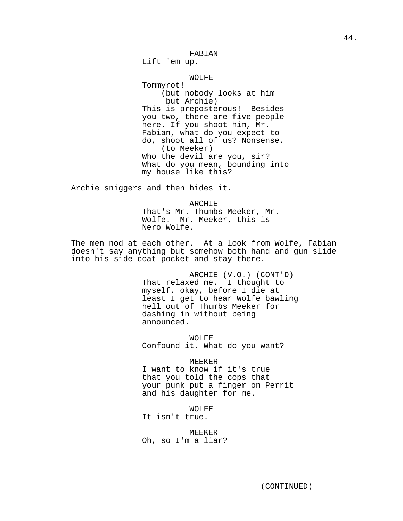Lift 'em up.

## WOLFE

Tommyrot! (but nobody looks at him but Archie) This is preposterous! Besides you two, there are five people here. If you shoot him, Mr. Fabian, what do you expect to do, shoot all of us? Nonsense. (to Meeker) Who the devil are you, sir? What do you mean, bounding into my house like this?

Archie sniggers and then hides it.

ARCHIE That's Mr. Thumbs Meeker, Mr. Wolfe. Mr. Meeker, this is Nero Wolfe.

The men nod at each other. At a look from Wolfe, Fabian doesn't say anything but somehow both hand and gun slide into his side coat-pocket and stay there.

> ARCHIE (V.O.) (CONT'D) That relaxed me. I thought to myself, okay, before I die at least I get to hear Wolfe bawling hell out of Thumbs Meeker for dashing in without being announced.

WOLFE Confound it. What do you want?

**MEEKER** I want to know if it's true that you told the cops that your punk put a finger on Perrit and his daughter for me.

WOLFE

It isn't true.

MEEKER Oh, so I'm a liar?

(CONTINUED)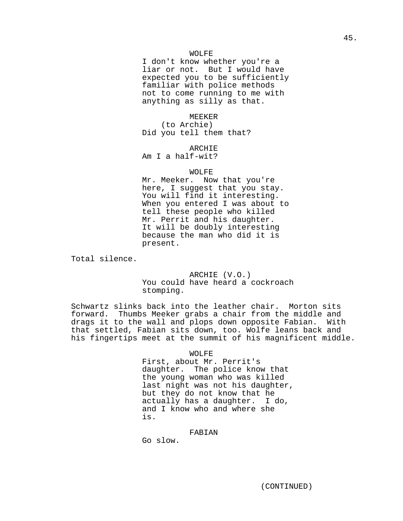I don't know whether you're a liar or not. But I would have expected you to be sufficiently familiar with police methods not to come running to me with anything as silly as that.

**MEEKER** 

(to Archie) Did you tell them that?

ARCHIE

Am I a half-wit?

# WOLFE

Mr. Meeker. Now that you're here, I suggest that you stay. You will find it interesting. When you entered I was about to tell these people who killed Mr. Perrit and his daughter. It will be doubly interesting because the man who did it is present.

Total silence.

ARCHIE (V.O.) You could have heard a cockroach stomping.

Schwartz slinks back into the leather chair. Morton sits forward. Thumbs Meeker grabs a chair from the middle and drags it to the wall and plops down opposite Fabian. With that settled, Fabian sits down, too. Wolfe leans back and his fingertips meet at the summit of his magnificent middle.

#### WOLFE

First, about Mr. Perrit's daughter. The police know that the young woman who was killed last night was not his daughter, but they do not know that he actually has a daughter. I do, and I know who and where she is.

## FABIAN

Go slow.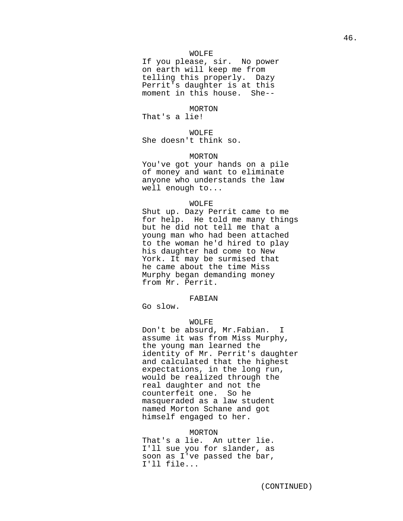If you please, sir. No power on earth will keep me from telling this properly. Dazy Perrit's daughter is at this moment in this house. She--

MORTON

That's a lie!

WOLFE

She doesn't think so.

## MORTON

You've got your hands on a pile of money and want to eliminate anyone who understands the law well enough to...

#### WOLFE

Shut up. Dazy Perrit came to me for help. He told me many things but he did not tell me that a young man who had been attached to the woman he'd hired to play his daughter had come to New York. It may be surmised that he came about the time Miss Murphy began demanding money from Mr. Perrit.

## FABIAN

Go slow.

## WOLFE

Don't be absurd, Mr.Fabian. I assume it was from Miss Murphy, the young man learned the identity of Mr. Perrit's daughter and calculated that the highest expectations, in the long run, would be realized through the real daughter and not the counterfeit one. So he masqueraded as a law student named Morton Schane and got himself engaged to her.

#### MORTON

That's a lie. An utter lie. I'll sue you for slander, as soon as I've passed the bar, I'll file...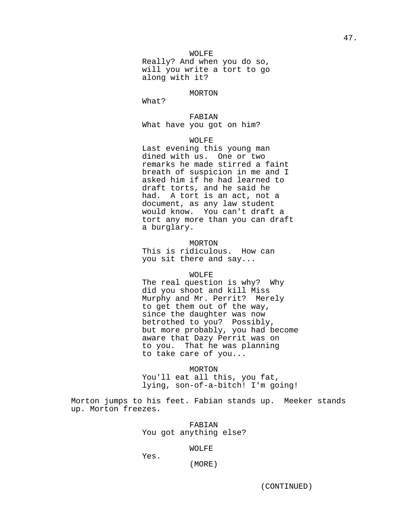Really? And when you do so, will you write a tort to go along with it?

## MORTON

What?

# FABIAN

What have you got on him?

# WOLFE

Last evening this young man dined with us. One or two remarks he made stirred a faint breath of suspicion in me and I asked him if he had learned to draft torts, and he said he had. A tort is an act, not a document, as any law student would know. You can't draft a tort any more than you can draft a burglary.

# MORTON

This is ridiculous. How can you sit there and say...

# WOLFE

The real question is why? Why did you shoot and kill Miss Murphy and Mr. Perrit? Merely to get them out of the way, since the daughter was now betrothed to you? Possibly, but more probably, you had become aware that Dazy Perrit was on to you. That he was planning to take care of you...

MORTON You'll eat all this, you fat, lying, son-of-a-bitch! I'm going!

Morton jumps to his feet. Fabian stands up. Meeker stands up. Morton freezes.

# FABIAN You got anything else?

# WOLFE

Yes.

(MORE)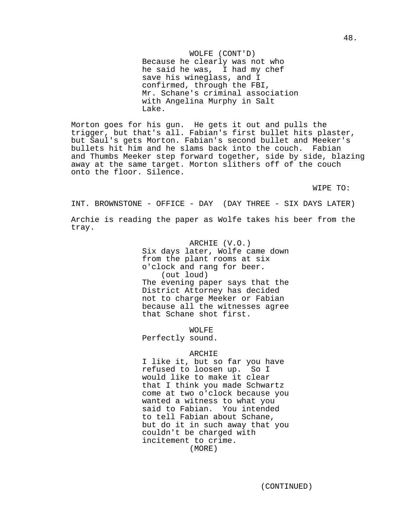WOLFE (CONT'D) Because he clearly was not who he said he was, I had my chef save his wineglass, and I confirmed, through the FBI, Mr. Schane's criminal association with Angelina Murphy in Salt Lake.

Morton goes for his gun. He gets it out and pulls the trigger, but that's all. Fabian's first bullet hits plaster, but Saul's gets Morton. Fabian's second bullet and Meeker's bullets hit him and he slams back into the couch. Fabian and Thumbs Meeker step forward together, side by side, blazing away at the same target. Morton slithers off of the couch onto the floor. Silence.

WIPE TO:

INT. BROWNSTONE - OFFICE - DAY (DAY THREE - SIX DAYS LATER)

Archie is reading the paper as Wolfe takes his beer from the tray.

> ARCHIE (V.O.) Six days later, Wolfe came down from the plant rooms at six o'clock and rang for beer. (out loud) The evening paper says that the District Attorney has decided not to charge Meeker or Fabian because all the witnesses agree that Schane shot first.

WOLFE Perfectly sound.

# ARCHIE

I like it, but so far you have refused to loosen up. So I would like to make it clear that I think you made Schwartz come at two o'clock because you wanted a witness to what you said to Fabian. You intended to tell Fabian about Schane, but do it in such away that you couldn't be charged with incitement to crime. (MORE)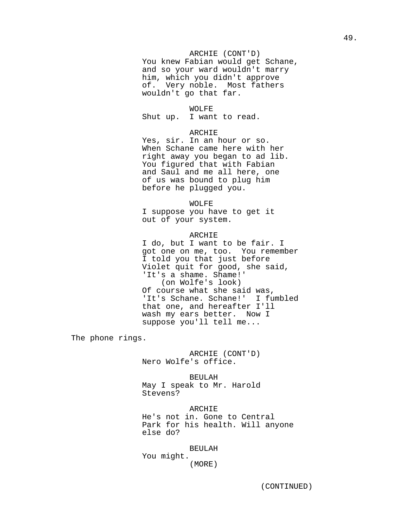# ARCHIE (CONT'D)

You knew Fabian would get Schane, and so your ward wouldn't marry him, which you didn't approve of. Very noble. Most fathers wouldn't go that far.

# WOLFE

Shut up. I want to read.

## ARCHIE

Yes, sir. In an hour or so. When Schane came here with her right away you began to ad lib. You figured that with Fabian and Saul and me all here, one of us was bound to plug him before he plugged you.

WOLFE

I suppose you have to get it out of your system.

## ARCHIE

I do, but I want to be fair. I got one on me, too. You remember I told you that just before Violet quit for good, she said, 'It's a shame. Shame!' (on Wolfe's look) Of course what she said was, 'It's Schane. Schane!' I fumbled that one, and hereafter I'll wash my ears better. Now I suppose you'll tell me...

The phone rings.

ARCHIE (CONT'D) Nero Wolfe's office.

BEULAH May I speak to Mr. Harold Stevens?

ARCHIE He's not in. Gone to Central Park for his health. Will anyone else do?

# BEULAH

You might. (MORE)